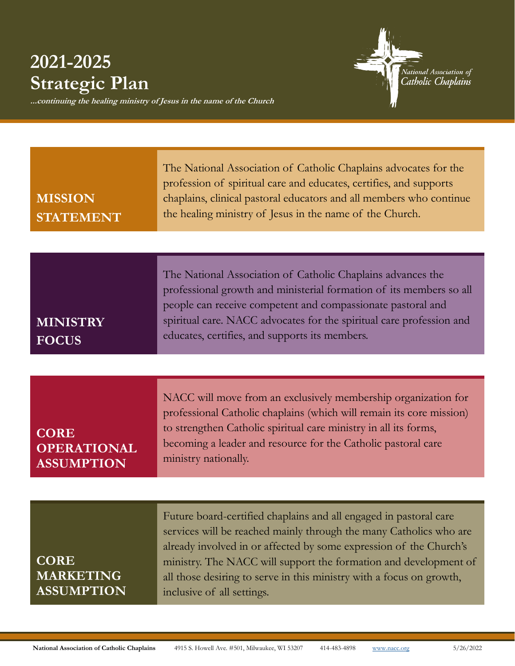## **2021-2025 Strategic Plan**

.<br>National Association of<br>Cath<mark>olic Chaplains</mark>

**...continuing the healing ministry of Jesus in the name of the Church** 

| <b>MISSION</b><br><b>STATEMENT</b>                     | The National Association of Catholic Chaplains advocates for the<br>profession of spiritual care and educates, certifies, and supports<br>chaplains, clinical pastoral educators and all members who continue<br>the healing ministry of Jesus in the name of the Church.                                                                                                               |
|--------------------------------------------------------|-----------------------------------------------------------------------------------------------------------------------------------------------------------------------------------------------------------------------------------------------------------------------------------------------------------------------------------------------------------------------------------------|
|                                                        |                                                                                                                                                                                                                                                                                                                                                                                         |
| <b>MINISTRY</b><br><b>FOCUS</b>                        | The National Association of Catholic Chaplains advances the<br>professional growth and ministerial formation of its members so all<br>people can receive competent and compassionate pastoral and<br>spiritual care. NACC advocates for the spiritual care profession and<br>educates, certifies, and supports its members.                                                             |
|                                                        |                                                                                                                                                                                                                                                                                                                                                                                         |
| <b>CORE</b><br><b>OPERATIONAL</b><br><b>ASSUMPTION</b> | NACC will move from an exclusively membership organization for<br>professional Catholic chaplains (which will remain its core mission)<br>to strengthen Catholic spiritual care ministry in all its forms,<br>becoming a leader and resource for the Catholic pastoral care<br>ministry nationally.                                                                                     |
|                                                        |                                                                                                                                                                                                                                                                                                                                                                                         |
| <b>CORE</b><br><b>MARKETING</b><br><b>ASSUMPTION</b>   | Future board-certified chaplains and all engaged in pastoral care<br>services will be reached mainly through the many Catholics who are<br>already involved in or affected by some expression of the Church's<br>ministry. The NACC will support the formation and development of<br>all those desiring to serve in this ministry with a focus on growth,<br>inclusive of all settings. |